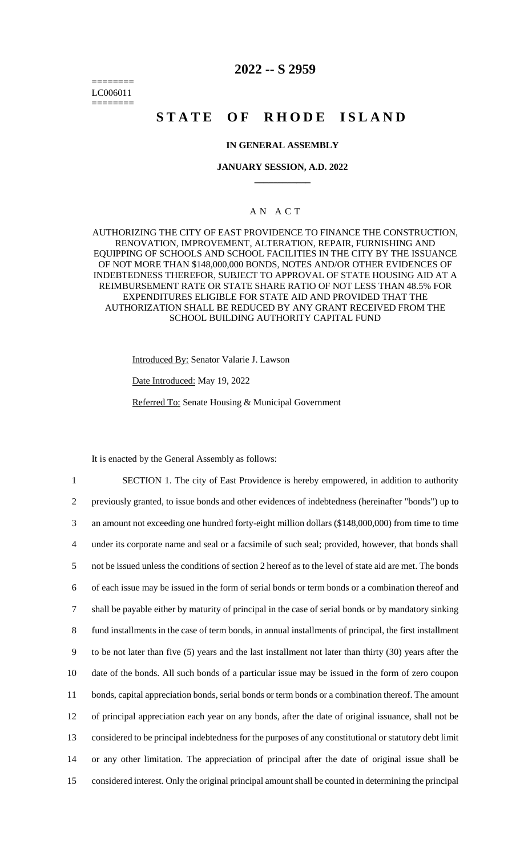======== LC006011 ========

## **2022 -- S 2959**

# **STATE OF RHODE ISLAND**

## **IN GENERAL ASSEMBLY**

## **JANUARY SESSION, A.D. 2022 \_\_\_\_\_\_\_\_\_\_\_\_**

## A N A C T

AUTHORIZING THE CITY OF EAST PROVIDENCE TO FINANCE THE CONSTRUCTION, RENOVATION, IMPROVEMENT, ALTERATION, REPAIR, FURNISHING AND EQUIPPING OF SCHOOLS AND SCHOOL FACILITIES IN THE CITY BY THE ISSUANCE OF NOT MORE THAN \$148,000,000 BONDS, NOTES AND/OR OTHER EVIDENCES OF INDEBTEDNESS THEREFOR, SUBJECT TO APPROVAL OF STATE HOUSING AID AT A REIMBURSEMENT RATE OR STATE SHARE RATIO OF NOT LESS THAN 48.5% FOR EXPENDITURES ELIGIBLE FOR STATE AID AND PROVIDED THAT THE AUTHORIZATION SHALL BE REDUCED BY ANY GRANT RECEIVED FROM THE SCHOOL BUILDING AUTHORITY CAPITAL FUND

Introduced By: Senator Valarie J. Lawson

Date Introduced: May 19, 2022

Referred To: Senate Housing & Municipal Government

It is enacted by the General Assembly as follows:

 SECTION 1. The city of East Providence is hereby empowered, in addition to authority previously granted, to issue bonds and other evidences of indebtedness (hereinafter "bonds") up to an amount not exceeding one hundred forty-eight million dollars (\$148,000,000) from time to time under its corporate name and seal or a facsimile of such seal; provided, however, that bonds shall not be issued unless the conditions of section 2 hereof as to the level of state aid are met. The bonds of each issue may be issued in the form of serial bonds or term bonds or a combination thereof and shall be payable either by maturity of principal in the case of serial bonds or by mandatory sinking fund installments in the case of term bonds, in annual installments of principal, the first installment to be not later than five (5) years and the last installment not later than thirty (30) years after the date of the bonds. All such bonds of a particular issue may be issued in the form of zero coupon bonds, capital appreciation bonds, serial bonds or term bonds or a combination thereof. The amount of principal appreciation each year on any bonds, after the date of original issuance, shall not be considered to be principal indebtedness for the purposes of any constitutional or statutory debt limit or any other limitation. The appreciation of principal after the date of original issue shall be considered interest. Only the original principal amount shall be counted in determining the principal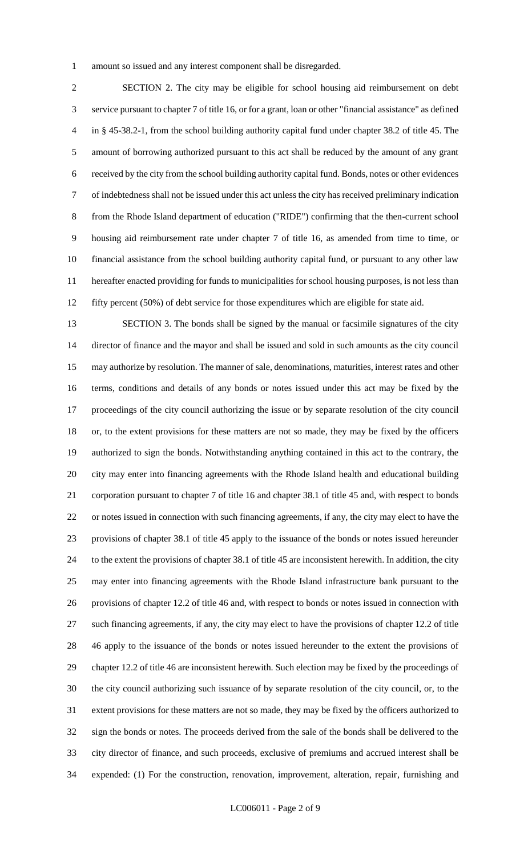amount so issued and any interest component shall be disregarded.

 SECTION 2. The city may be eligible for school housing aid reimbursement on debt service pursuant to chapter 7 of title 16, or for a grant, loan or other "financial assistance" as defined in § 45-38.2-1, from the school building authority capital fund under chapter 38.2 of title 45. The amount of borrowing authorized pursuant to this act shall be reduced by the amount of any grant received by the city from the school building authority capital fund. Bonds, notes or other evidences of indebtedness shall not be issued under this act unless the city has received preliminary indication from the Rhode Island department of education ("RIDE") confirming that the then-current school housing aid reimbursement rate under chapter 7 of title 16, as amended from time to time, or financial assistance from the school building authority capital fund, or pursuant to any other law hereafter enacted providing for funds to municipalities for school housing purposes, is not less than fifty percent (50%) of debt service for those expenditures which are eligible for state aid.

 SECTION 3. The bonds shall be signed by the manual or facsimile signatures of the city director of finance and the mayor and shall be issued and sold in such amounts as the city council may authorize by resolution. The manner of sale, denominations, maturities, interest rates and other terms, conditions and details of any bonds or notes issued under this act may be fixed by the proceedings of the city council authorizing the issue or by separate resolution of the city council or, to the extent provisions for these matters are not so made, they may be fixed by the officers authorized to sign the bonds. Notwithstanding anything contained in this act to the contrary, the city may enter into financing agreements with the Rhode Island health and educational building corporation pursuant to chapter 7 of title 16 and chapter 38.1 of title 45 and, with respect to bonds or notes issued in connection with such financing agreements, if any, the city may elect to have the provisions of chapter 38.1 of title 45 apply to the issuance of the bonds or notes issued hereunder to the extent the provisions of chapter 38.1 of title 45 are inconsistent herewith. In addition, the city may enter into financing agreements with the Rhode Island infrastructure bank pursuant to the provisions of chapter 12.2 of title 46 and, with respect to bonds or notes issued in connection with such financing agreements, if any, the city may elect to have the provisions of chapter 12.2 of title 46 apply to the issuance of the bonds or notes issued hereunder to the extent the provisions of chapter 12.2 of title 46 are inconsistent herewith. Such election may be fixed by the proceedings of the city council authorizing such issuance of by separate resolution of the city council, or, to the extent provisions for these matters are not so made, they may be fixed by the officers authorized to sign the bonds or notes. The proceeds derived from the sale of the bonds shall be delivered to the city director of finance, and such proceeds, exclusive of premiums and accrued interest shall be expended: (1) For the construction, renovation, improvement, alteration, repair, furnishing and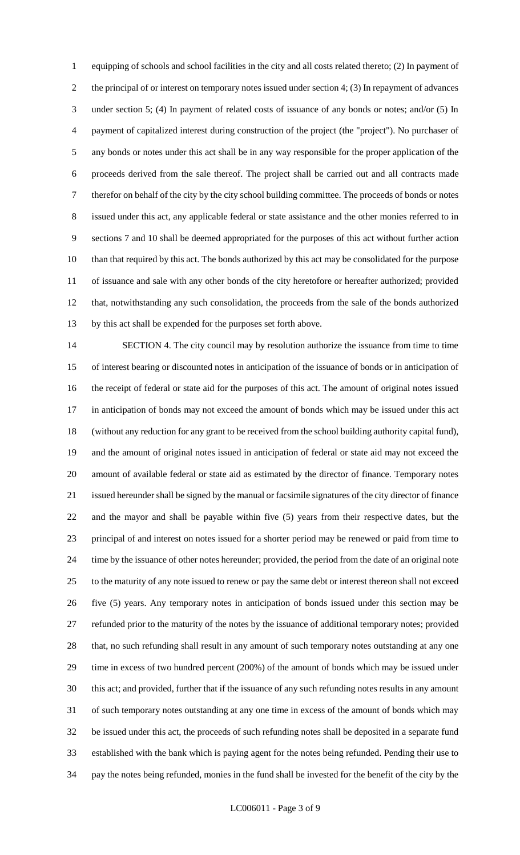equipping of schools and school facilities in the city and all costs related thereto; (2) In payment of the principal of or interest on temporary notes issued under section 4; (3) In repayment of advances under section 5; (4) In payment of related costs of issuance of any bonds or notes; and/or (5) In payment of capitalized interest during construction of the project (the "project"). No purchaser of any bonds or notes under this act shall be in any way responsible for the proper application of the proceeds derived from the sale thereof. The project shall be carried out and all contracts made therefor on behalf of the city by the city school building committee. The proceeds of bonds or notes issued under this act, any applicable federal or state assistance and the other monies referred to in sections 7 and 10 shall be deemed appropriated for the purposes of this act without further action than that required by this act. The bonds authorized by this act may be consolidated for the purpose of issuance and sale with any other bonds of the city heretofore or hereafter authorized; provided that, notwithstanding any such consolidation, the proceeds from the sale of the bonds authorized by this act shall be expended for the purposes set forth above.

 SECTION 4. The city council may by resolution authorize the issuance from time to time of interest bearing or discounted notes in anticipation of the issuance of bonds or in anticipation of the receipt of federal or state aid for the purposes of this act. The amount of original notes issued in anticipation of bonds may not exceed the amount of bonds which may be issued under this act (without any reduction for any grant to be received from the school building authority capital fund), and the amount of original notes issued in anticipation of federal or state aid may not exceed the amount of available federal or state aid as estimated by the director of finance. Temporary notes issued hereunder shall be signed by the manual or facsimile signatures of the city director of finance and the mayor and shall be payable within five (5) years from their respective dates, but the principal of and interest on notes issued for a shorter period may be renewed or paid from time to time by the issuance of other notes hereunder; provided, the period from the date of an original note to the maturity of any note issued to renew or pay the same debt or interest thereon shall not exceed five (5) years. Any temporary notes in anticipation of bonds issued under this section may be refunded prior to the maturity of the notes by the issuance of additional temporary notes; provided that, no such refunding shall result in any amount of such temporary notes outstanding at any one time in excess of two hundred percent (200%) of the amount of bonds which may be issued under this act; and provided, further that if the issuance of any such refunding notes results in any amount of such temporary notes outstanding at any one time in excess of the amount of bonds which may be issued under this act, the proceeds of such refunding notes shall be deposited in a separate fund established with the bank which is paying agent for the notes being refunded. Pending their use to pay the notes being refunded, monies in the fund shall be invested for the benefit of the city by the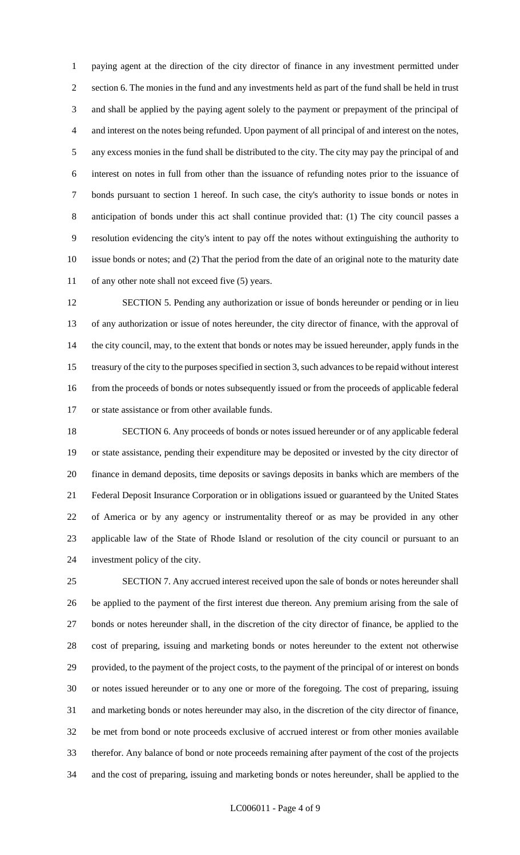paying agent at the direction of the city director of finance in any investment permitted under section 6. The monies in the fund and any investments held as part of the fund shall be held in trust and shall be applied by the paying agent solely to the payment or prepayment of the principal of and interest on the notes being refunded. Upon payment of all principal of and interest on the notes, any excess monies in the fund shall be distributed to the city. The city may pay the principal of and interest on notes in full from other than the issuance of refunding notes prior to the issuance of bonds pursuant to section 1 hereof. In such case, the city's authority to issue bonds or notes in anticipation of bonds under this act shall continue provided that: (1) The city council passes a resolution evidencing the city's intent to pay off the notes without extinguishing the authority to issue bonds or notes; and (2) That the period from the date of an original note to the maturity date of any other note shall not exceed five (5) years.

 SECTION 5. Pending any authorization or issue of bonds hereunder or pending or in lieu of any authorization or issue of notes hereunder, the city director of finance, with the approval of the city council, may, to the extent that bonds or notes may be issued hereunder, apply funds in the treasury of the city to the purposes specified in section 3, such advances to be repaid without interest from the proceeds of bonds or notes subsequently issued or from the proceeds of applicable federal or state assistance or from other available funds.

 SECTION 6. Any proceeds of bonds or notes issued hereunder or of any applicable federal or state assistance, pending their expenditure may be deposited or invested by the city director of finance in demand deposits, time deposits or savings deposits in banks which are members of the Federal Deposit Insurance Corporation or in obligations issued or guaranteed by the United States of America or by any agency or instrumentality thereof or as may be provided in any other applicable law of the State of Rhode Island or resolution of the city council or pursuant to an investment policy of the city.

 SECTION 7. Any accrued interest received upon the sale of bonds or notes hereunder shall be applied to the payment of the first interest due thereon. Any premium arising from the sale of bonds or notes hereunder shall, in the discretion of the city director of finance, be applied to the cost of preparing, issuing and marketing bonds or notes hereunder to the extent not otherwise provided, to the payment of the project costs, to the payment of the principal of or interest on bonds or notes issued hereunder or to any one or more of the foregoing. The cost of preparing, issuing and marketing bonds or notes hereunder may also, in the discretion of the city director of finance, be met from bond or note proceeds exclusive of accrued interest or from other monies available therefor. Any balance of bond or note proceeds remaining after payment of the cost of the projects and the cost of preparing, issuing and marketing bonds or notes hereunder, shall be applied to the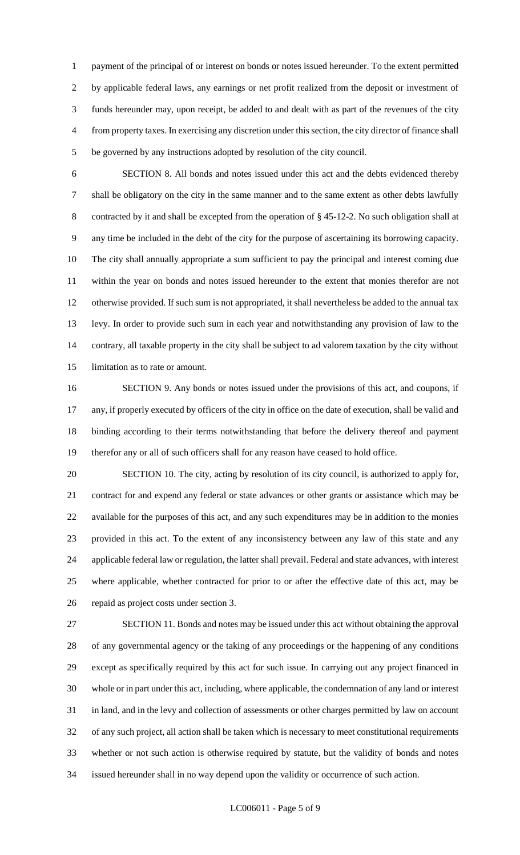payment of the principal of or interest on bonds or notes issued hereunder. To the extent permitted by applicable federal laws, any earnings or net profit realized from the deposit or investment of funds hereunder may, upon receipt, be added to and dealt with as part of the revenues of the city from property taxes. In exercising any discretion under this section, the city director of finance shall be governed by any instructions adopted by resolution of the city council.

 SECTION 8. All bonds and notes issued under this act and the debts evidenced thereby shall be obligatory on the city in the same manner and to the same extent as other debts lawfully contracted by it and shall be excepted from the operation of § 45-12-2. No such obligation shall at any time be included in the debt of the city for the purpose of ascertaining its borrowing capacity. The city shall annually appropriate a sum sufficient to pay the principal and interest coming due within the year on bonds and notes issued hereunder to the extent that monies therefor are not otherwise provided. If such sum is not appropriated, it shall nevertheless be added to the annual tax levy. In order to provide such sum in each year and notwithstanding any provision of law to the contrary, all taxable property in the city shall be subject to ad valorem taxation by the city without limitation as to rate or amount.

 SECTION 9. Any bonds or notes issued under the provisions of this act, and coupons, if any, if properly executed by officers of the city in office on the date of execution, shall be valid and binding according to their terms notwithstanding that before the delivery thereof and payment therefor any or all of such officers shall for any reason have ceased to hold office.

 SECTION 10. The city, acting by resolution of its city council, is authorized to apply for, contract for and expend any federal or state advances or other grants or assistance which may be available for the purposes of this act, and any such expenditures may be in addition to the monies provided in this act. To the extent of any inconsistency between any law of this state and any applicable federal law or regulation, the latter shall prevail. Federal and state advances, with interest where applicable, whether contracted for prior to or after the effective date of this act, may be repaid as project costs under section 3.

 SECTION 11. Bonds and notes may be issued under this act without obtaining the approval of any governmental agency or the taking of any proceedings or the happening of any conditions except as specifically required by this act for such issue. In carrying out any project financed in whole or in part under this act, including, where applicable, the condemnation of any land or interest in land, and in the levy and collection of assessments or other charges permitted by law on account of any such project, all action shall be taken which is necessary to meet constitutional requirements whether or not such action is otherwise required by statute, but the validity of bonds and notes issued hereunder shall in no way depend upon the validity or occurrence of such action.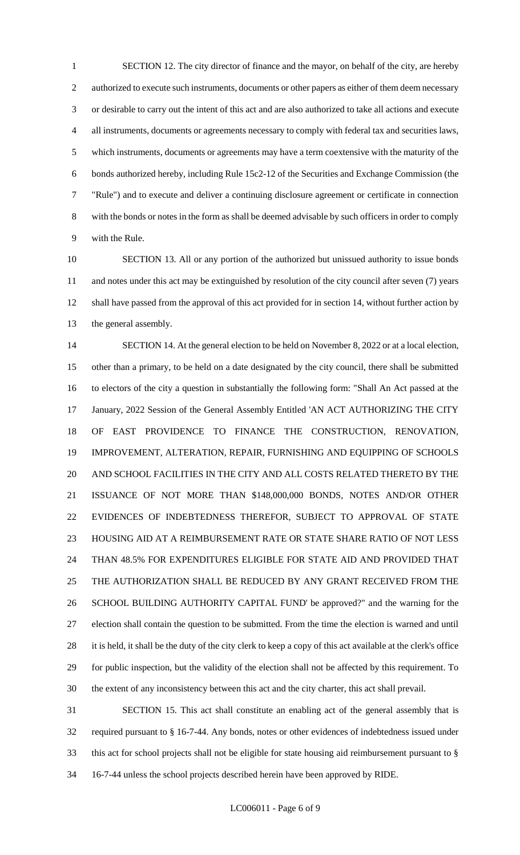SECTION 12. The city director of finance and the mayor, on behalf of the city, are hereby 2 authorized to execute such instruments, documents or other papers as either of them deem necessary or desirable to carry out the intent of this act and are also authorized to take all actions and execute all instruments, documents or agreements necessary to comply with federal tax and securities laws, which instruments, documents or agreements may have a term coextensive with the maturity of the bonds authorized hereby, including Rule 15c2-12 of the Securities and Exchange Commission (the "Rule") and to execute and deliver a continuing disclosure agreement or certificate in connection with the bonds or notes in the form as shall be deemed advisable by such officers in order to comply with the Rule.

 SECTION 13. All or any portion of the authorized but unissued authority to issue bonds and notes under this act may be extinguished by resolution of the city council after seven (7) years shall have passed from the approval of this act provided for in section 14, without further action by the general assembly.

 SECTION 14. At the general election to be held on November 8, 2022 or at a local election, other than a primary, to be held on a date designated by the city council, there shall be submitted to electors of the city a question in substantially the following form: "Shall An Act passed at the January, 2022 Session of the General Assembly Entitled 'AN ACT AUTHORIZING THE CITY OF EAST PROVIDENCE TO FINANCE THE CONSTRUCTION, RENOVATION, IMPROVEMENT, ALTERATION, REPAIR, FURNISHING AND EQUIPPING OF SCHOOLS AND SCHOOL FACILITIES IN THE CITY AND ALL COSTS RELATED THERETO BY THE ISSUANCE OF NOT MORE THAN \$148,000,000 BONDS, NOTES AND/OR OTHER EVIDENCES OF INDEBTEDNESS THEREFOR, SUBJECT TO APPROVAL OF STATE HOUSING AID AT A REIMBURSEMENT RATE OR STATE SHARE RATIO OF NOT LESS THAN 48.5% FOR EXPENDITURES ELIGIBLE FOR STATE AID AND PROVIDED THAT THE AUTHORIZATION SHALL BE REDUCED BY ANY GRANT RECEIVED FROM THE SCHOOL BUILDING AUTHORITY CAPITAL FUND' be approved?" and the warning for the election shall contain the question to be submitted. From the time the election is warned and until 28 it is held, it shall be the duty of the city clerk to keep a copy of this act available at the clerk's office for public inspection, but the validity of the election shall not be affected by this requirement. To the extent of any inconsistency between this act and the city charter, this act shall prevail.

 SECTION 15. This act shall constitute an enabling act of the general assembly that is required pursuant to § 16-7-44. Any bonds, notes or other evidences of indebtedness issued under this act for school projects shall not be eligible for state housing aid reimbursement pursuant to § 16-7-44 unless the school projects described herein have been approved by RIDE.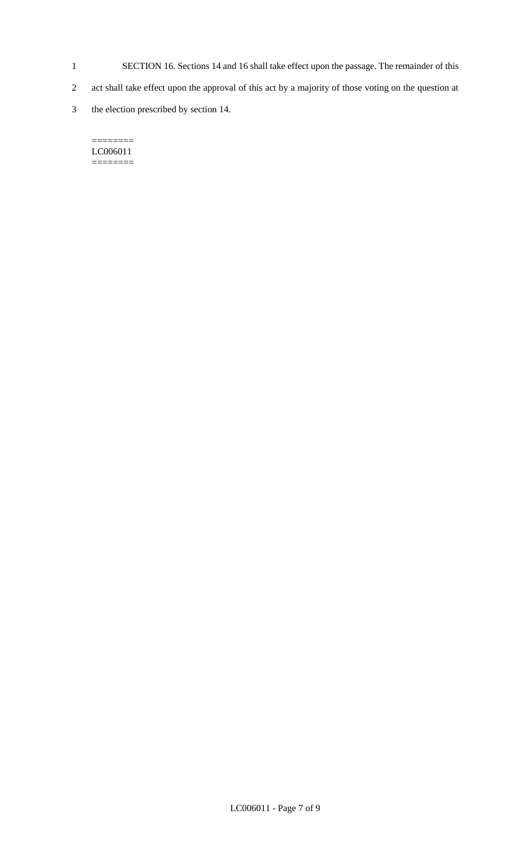- 1 SECTION 16. Sections 14 and 16 shall take effect upon the passage. The remainder of this
- 2 act shall take effect upon the approval of this act by a majority of those voting on the question at
- 3 the election prescribed by section 14.

#### $=$ LC006011 ========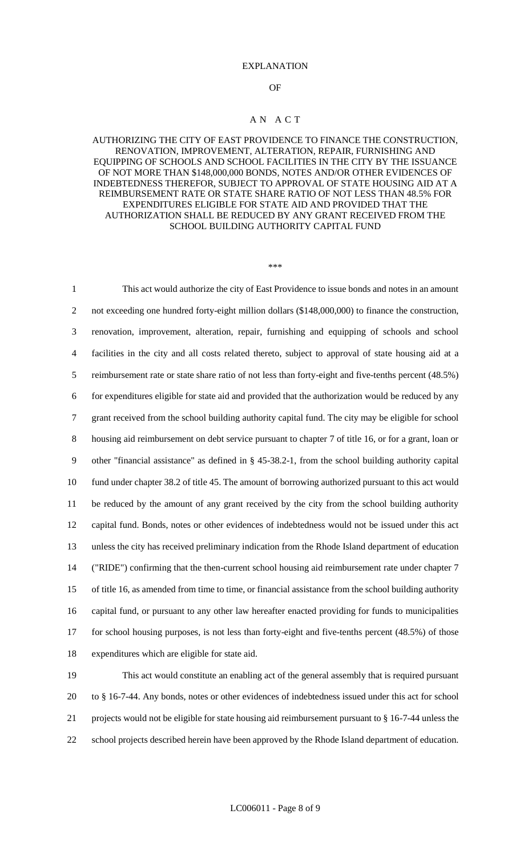#### EXPLANATION

#### OF

### A N A C T

## AUTHORIZING THE CITY OF EAST PROVIDENCE TO FINANCE THE CONSTRUCTION, RENOVATION, IMPROVEMENT, ALTERATION, REPAIR, FURNISHING AND EQUIPPING OF SCHOOLS AND SCHOOL FACILITIES IN THE CITY BY THE ISSUANCE OF NOT MORE THAN \$148,000,000 BONDS, NOTES AND/OR OTHER EVIDENCES OF INDEBTEDNESS THEREFOR, SUBJECT TO APPROVAL OF STATE HOUSING AID AT A REIMBURSEMENT RATE OR STATE SHARE RATIO OF NOT LESS THAN 48.5% FOR EXPENDITURES ELIGIBLE FOR STATE AID AND PROVIDED THAT THE AUTHORIZATION SHALL BE REDUCED BY ANY GRANT RECEIVED FROM THE SCHOOL BUILDING AUTHORITY CAPITAL FUND

#### \*\*\*

 This act would authorize the city of East Providence to issue bonds and notes in an amount 2 not exceeding one hundred forty-eight million dollars (\$148,000,000) to finance the construction, renovation, improvement, alteration, repair, furnishing and equipping of schools and school facilities in the city and all costs related thereto, subject to approval of state housing aid at a reimbursement rate or state share ratio of not less than forty-eight and five-tenths percent (48.5%) for expenditures eligible for state aid and provided that the authorization would be reduced by any grant received from the school building authority capital fund. The city may be eligible for school housing aid reimbursement on debt service pursuant to chapter 7 of title 16, or for a grant, loan or other "financial assistance" as defined in § 45-38.2-1, from the school building authority capital fund under chapter 38.2 of title 45. The amount of borrowing authorized pursuant to this act would be reduced by the amount of any grant received by the city from the school building authority capital fund. Bonds, notes or other evidences of indebtedness would not be issued under this act unless the city has received preliminary indication from the Rhode Island department of education ("RIDE") confirming that the then-current school housing aid reimbursement rate under chapter 7 of title 16, as amended from time to time, or financial assistance from the school building authority capital fund, or pursuant to any other law hereafter enacted providing for funds to municipalities for school housing purposes, is not less than forty-eight and five-tenths percent (48.5%) of those expenditures which are eligible for state aid.

 This act would constitute an enabling act of the general assembly that is required pursuant to § 16-7-44. Any bonds, notes or other evidences of indebtedness issued under this act for school projects would not be eligible for state housing aid reimbursement pursuant to § 16-7-44 unless the school projects described herein have been approved by the Rhode Island department of education.